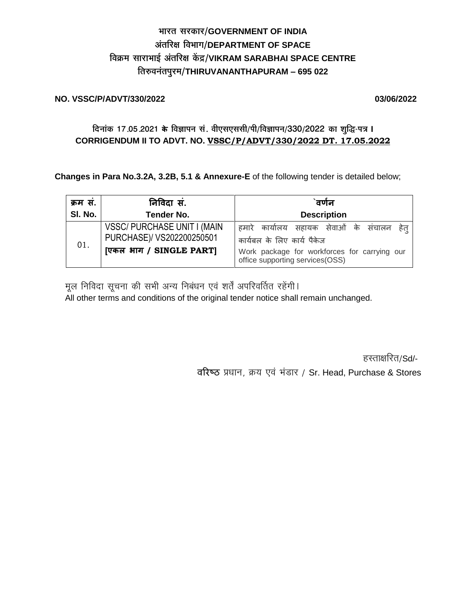# भारत सरकार/GOVERNMENT OF INDIA अंतरिक्ष विभाग/DEPARTMENT OF SPACE विक्रम साराभाई अंतरिक्ष केंद्र/VIKRAM SARABHAI SPACE CENTRE तिरुवनंतपुरम/THIRUVANANTHAPURAM - 695 022

### **NO. VSSC/P/ADVT/330/2022**

03/06/2022

## दिनांक 17.05.2021 के विज्ञापन सं. वीएसएससी/पी/विज्ञापन/330/2022 का शुद्धि-पत्र I CORRIGENDUM II TO ADVT. NO. VSSC/P/ADVT/330/2022 DT. 17.05.2022

Changes in Para No.3.2A, 3.2B, 5.1 & Annexure-E of the following tender is detailed below;

| क्रम सं. | निविदा सं.                                                                                 | `वर्णन                                                                                                                                                      |  |  |  |  |  |  |
|----------|--------------------------------------------------------------------------------------------|-------------------------------------------------------------------------------------------------------------------------------------------------------------|--|--|--|--|--|--|
| SI. No.  | <b>Tender No.</b>                                                                          | <b>Description</b>                                                                                                                                          |  |  |  |  |  |  |
| 01.      | <b>VSSC/ PURCHASE UNIT I (MAIN</b><br>PURCHASE)/ VS202200250501<br>[एकल भाग / SINGLE PART] | हमारे कार्यालय सहायक सेवाओं के संचालन हेत्<br>कार्यबल के लिए कार्य पैकेज<br>Work package for workforces for carrying our<br>office supporting services(OSS) |  |  |  |  |  |  |

मूल निविदा सूचना की सभी अन्य निबंधन एवं शर्तें अपरिवर्तित रहेंगी।

All other terms and conditions of the original tender notice shall remain unchanged.

हस्ताक्षरित/Sd/-

वरिष्ठ प्रधान, क्रय एवं भंडार / Sr. Head, Purchase & Stores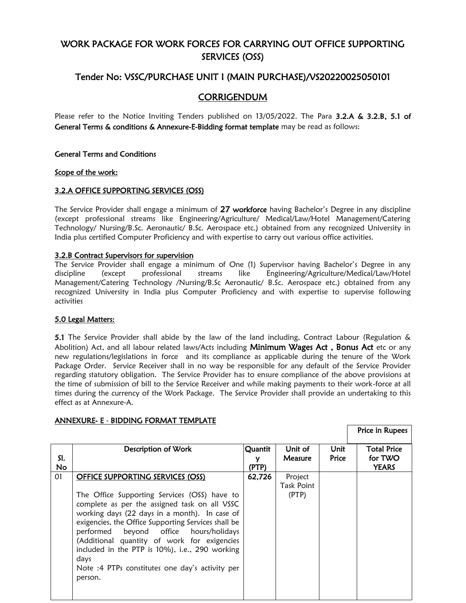## WORK PACKAGE FOR WORK FORCES FOR CARRYING OUT OFFICE SUPPORTING SERVICES (OSS)

## Tender No: VSSC/PURCHASE UNIT I (MAIN PURCHASE)/VS20220025050101

### **CORRIGENDUM**

Please refer to the Notice Inviting Tenders published on 13/05/2022. The Para 3.2.A & 3.2.B, 5.1 of General Terms & conditions & Annexure-E-Bidding format template may be read as follows:

#### General Terms and Conditions

#### Scope of the work:

#### 3.2.A OFFICE SUPPORTING SERVICES (OSS)

The Service Provider shall engage a minimum of 27 workforce having Bachelor's Degree in any discipline (except professional streams like Engineering/Agriculture/ Medical/Law/Hotel Management/Catering Technology/ Nursing/B.Sc. Aeronautic/ B.Sc. Aerospace etc.) obtained from any recognized University in India plus certified Computer Proficiency and with expertise to carry out various office activities.

#### 3.2.B Contract Supervisors for supervision

The Service Provider shall engage a minimum of One (1) Supervisor having Bachelor's Degree in any discipline (except professional streams like Engineering/Agriculture/Medical/Law/Hotel Management/Catering Technology /Nursing/B.Sc Aeronautic/ B.Sc. Aerospace etc.) obtained from any recognized University in India plus Computer Proficiency and with expertise to supervise following activities

#### 5.0 Legal Matters:

5.1 The Service Provider shall abide by the law of the land including, Contract Labour (Regulation & Abolition) Act, and all labour related laws/Acts including Minimum Wages Act, Bonus Act etc or any new regulations/legislations in force and its compliance as applicable during the tenure of the Work Package Order. Service Receiver shall in no way be responsible for any default of the Service Provider regarding statutory obligation. The Service Provider has to ensure compliance of the above provisions at the time of submission of bill to the Service Receiver and while making payments to their work-force at all times during the currency of the Work Package. The Service Provider shall provide an undertaking to this effect as at Annexure-A.

|                  |                                                                                                                                                                                                                                           |                       |                                |               | Price in Rupees                               |
|------------------|-------------------------------------------------------------------------------------------------------------------------------------------------------------------------------------------------------------------------------------------|-----------------------|--------------------------------|---------------|-----------------------------------------------|
| SI.<br><b>No</b> | Description of Work                                                                                                                                                                                                                       | Quantit<br>v<br>(PTP) | Unit of<br><b>Measure</b>      | Unit<br>Price | <b>Total Price</b><br>for TWO<br><b>YEARS</b> |
| 01               | OFFICE SUPPORTING SERVICES (OSS)<br>The Office Supporting Services (OSS) have to<br>complete as per the assigned task on all VSSC<br>working days (22 days in a month). In case of<br>exigencies, the Office Supporting Services shall be | 62,726                | Project<br>Task Point<br>(PTP) |               |                                               |
|                  | performed beyond office hours/holidays<br>(Additional quantity of work for exigencies<br>included in the PTP is 10%), i.e., 290 working<br>days<br>Note :4 PTPs constitutes one day's activity per                                        |                       |                                |               |                                               |
|                  | person.                                                                                                                                                                                                                                   |                       |                                |               |                                               |

#### ANNEXURE- E - BIDDING FORMAT TEMPLATE